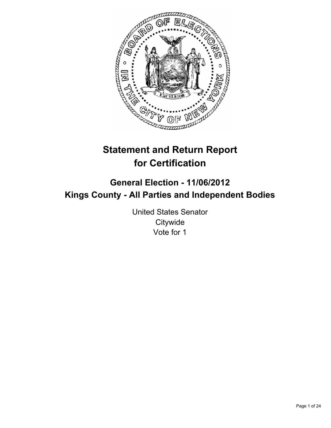

# **Statement and Return Report for Certification**

## **General Election - 11/06/2012 Kings County - All Parties and Independent Bodies**

United States Senator **Citywide** Vote for 1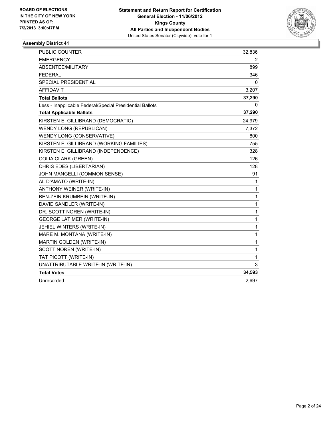

| <b>PUBLIC COUNTER</b>                                    | 32,836       |
|----------------------------------------------------------|--------------|
| <b>EMERGENCY</b>                                         | 2            |
| ABSENTEE/MILITARY                                        | 899          |
| <b>FEDERAL</b>                                           | 346          |
| SPECIAL PRESIDENTIAL                                     | 0            |
| <b>AFFIDAVIT</b>                                         | 3,207        |
| <b>Total Ballots</b>                                     | 37,290       |
| Less - Inapplicable Federal/Special Presidential Ballots | 0            |
| <b>Total Applicable Ballots</b>                          | 37,290       |
| KIRSTEN E. GILLIBRAND (DEMOCRATIC)                       | 24,979       |
| <b>WENDY LONG (REPUBLICAN)</b>                           | 7,372        |
| WENDY LONG (CONSERVATIVE)                                | 800          |
| KIRSTEN E. GILLIBRAND (WORKING FAMILIES)                 | 755          |
| KIRSTEN E. GILLIBRAND (INDEPENDENCE)                     | 328          |
| <b>COLIA CLARK (GREEN)</b>                               | 126          |
| CHRIS EDES (LIBERTARIAN)                                 | 128          |
| JOHN MANGELLI (COMMON SENSE)                             | 91           |
| AL D'AMATO (WRITE-IN)                                    | 1            |
| ANTHONY WEINER (WRITE-IN)                                | $\mathbf{1}$ |
| BEN-ZEIN KRUMBEIN (WRITE-IN)                             | 1            |
| DAVID SANDLER (WRITE-IN)                                 | 1            |
| DR. SCOTT NOREN (WRITE-IN)                               | 1            |
| <b>GEORGE LATIMER (WRITE-IN)</b>                         | 1            |
| JEHIEL WINTERS (WRITE-IN)                                | 1            |
| MARE M. MONTANA (WRITE-IN)                               | 1            |
| MARTIN GOLDEN (WRITE-IN)                                 | 1            |
| SCOTT NOREN (WRITE-IN)                                   | 1            |
| TAT PICOTT (WRITE-IN)                                    | 1            |
| UNATTRIBUTABLE WRITE-IN (WRITE-IN)                       | 3            |
| <b>Total Votes</b>                                       | 34,593       |
| Unrecorded                                               | 2,697        |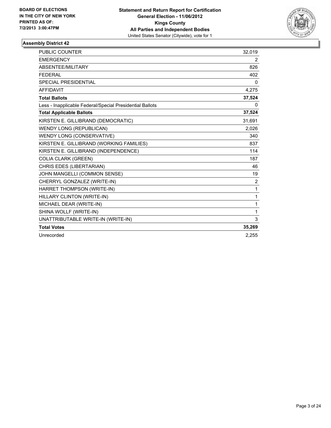

| <b>PUBLIC COUNTER</b>                                    | 32,019         |
|----------------------------------------------------------|----------------|
| <b>EMERGENCY</b>                                         | 2              |
| ABSENTEE/MILITARY                                        | 826            |
| <b>FFDFRAI</b>                                           | 402            |
| <b>SPECIAL PRESIDENTIAL</b>                              | $\mathbf{0}$   |
| <b>AFFIDAVIT</b>                                         | 4,275          |
| <b>Total Ballots</b>                                     | 37,524         |
| Less - Inapplicable Federal/Special Presidential Ballots | 0              |
| <b>Total Applicable Ballots</b>                          | 37,524         |
| KIRSTEN E. GILLIBRAND (DEMOCRATIC)                       | 31,691         |
| <b>WENDY LONG (REPUBLICAN)</b>                           | 2,026          |
| WENDY LONG (CONSERVATIVE)                                | 340            |
| KIRSTEN E. GILLIBRAND (WORKING FAMILIES)                 | 837            |
| KIRSTEN E. GILLIBRAND (INDEPENDENCE)                     | 114            |
| <b>COLIA CLARK (GREEN)</b>                               | 187            |
| CHRIS EDES (LIBERTARIAN)                                 | 46             |
| JOHN MANGELLI (COMMON SENSE)                             | 19             |
| CHERRYL GONZALEZ (WRITE-IN)                              | $\overline{2}$ |
| HARRET THOMPSON (WRITE-IN)                               | 1              |
| HILLARY CLINTON (WRITE-IN)                               | 1              |
| MICHAEL DEAR (WRITE-IN)                                  | 1              |
| SHINA WOLLF (WRITE-IN)                                   | 1              |
| UNATTRIBUTABLE WRITE-IN (WRITE-IN)                       | 3              |
| <b>Total Votes</b>                                       | 35,269         |
| Unrecorded                                               | 2.255          |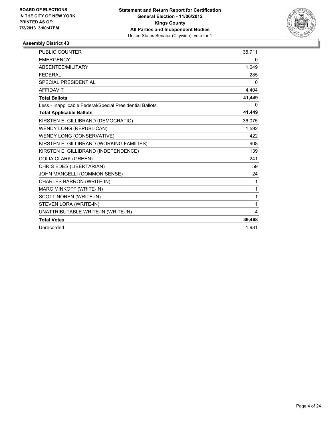

| <b>PUBLIC COUNTER</b>                                    | 35,711 |
|----------------------------------------------------------|--------|
| <b>EMERGENCY</b>                                         | 0      |
| <b>ABSENTEE/MILITARY</b>                                 | 1,049  |
| <b>FEDERAL</b>                                           | 285    |
| <b>SPECIAL PRESIDENTIAL</b>                              | 0      |
| <b>AFFIDAVIT</b>                                         | 4,404  |
| <b>Total Ballots</b>                                     | 41,449 |
| Less - Inapplicable Federal/Special Presidential Ballots | 0      |
| <b>Total Applicable Ballots</b>                          | 41,449 |
| KIRSTEN E. GILLIBRAND (DEMOCRATIC)                       | 36,075 |
| <b>WENDY LONG (REPUBLICAN)</b>                           | 1,592  |
| WENDY LONG (CONSERVATIVE)                                | 422    |
| KIRSTEN E. GILLIBRAND (WORKING FAMILIES)                 | 908    |
| KIRSTEN E. GILLIBRAND (INDEPENDENCE)                     | 139    |
| <b>COLIA CLARK (GREEN)</b>                               | 241    |
| CHRIS EDES (LIBERTARIAN)                                 | 59     |
| JOHN MANGELLI (COMMON SENSE)                             | 24     |
| CHARLES BARRON (WRITE-IN)                                | 1      |
| MARC MINKOFF (WRITE-IN)                                  | 1      |
| SCOTT NOREN (WRITE-IN)                                   | 1      |
| STEVEN LORA (WRITE-IN)                                   | 1      |
| UNATTRIBUTABLE WRITE-IN (WRITE-IN)                       | 4      |
| <b>Total Votes</b>                                       | 39,468 |
| Unrecorded                                               | 1.981  |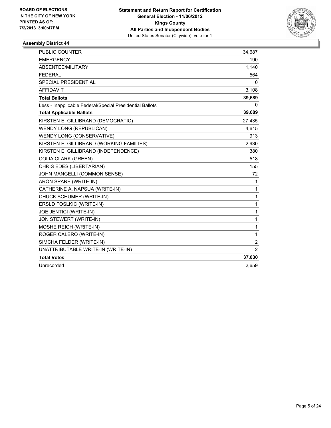

| <b>PUBLIC COUNTER</b>                                    | 34,687         |
|----------------------------------------------------------|----------------|
| <b>EMERGENCY</b>                                         | 190            |
| ABSENTEE/MILITARY                                        | 1,140          |
| <b>FEDERAL</b>                                           | 564            |
| <b>SPECIAL PRESIDENTIAL</b>                              | $\Omega$       |
| <b>AFFIDAVIT</b>                                         | 3,108          |
| <b>Total Ballots</b>                                     | 39,689         |
| Less - Inapplicable Federal/Special Presidential Ballots | 0              |
| <b>Total Applicable Ballots</b>                          | 39,689         |
| KIRSTEN E. GILLIBRAND (DEMOCRATIC)                       | 27,435         |
| <b>WENDY LONG (REPUBLICAN)</b>                           | 4,615          |
| WENDY LONG (CONSERVATIVE)                                | 913            |
| KIRSTEN E. GILLIBRAND (WORKING FAMILIES)                 | 2,930          |
| KIRSTEN E. GILLIBRAND (INDEPENDENCE)                     | 380            |
| <b>COLIA CLARK (GREEN)</b>                               | 518            |
| CHRIS EDES (LIBERTARIAN)                                 | 155            |
| JOHN MANGELLI (COMMON SENSE)                             | 72             |
| ARON SPARE (WRITE-IN)                                    | 1              |
| CATHERINE A. NAPSUA (WRITE-IN)                           | 1              |
| CHUCK SCHUMER (WRITE-IN)                                 | 1              |
| ERSLD FOSLKIC (WRITE-IN)                                 | 1              |
| JOE JENTICI (WRITE-IN)                                   | 1              |
| <b>JON STEWERT (WRITE-IN)</b>                            | 1              |
| MOSHE REICH (WRITE-IN)                                   | 1              |
| ROGER CALERO (WRITE-IN)                                  | $\mathbf{1}$   |
| SIMCHA FELDER (WRITE-IN)                                 | $\overline{2}$ |
| UNATTRIBUTABLE WRITE-IN (WRITE-IN)                       | 2              |
| <b>Total Votes</b>                                       | 37,030         |
| Unrecorded                                               | 2,659          |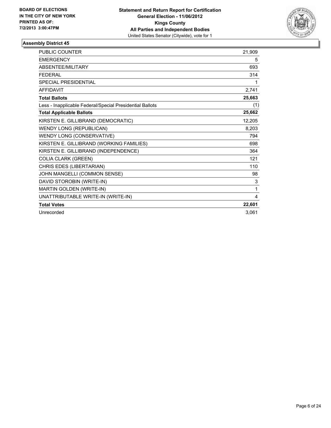

| <b>PUBLIC COUNTER</b>                                    | 21,909 |
|----------------------------------------------------------|--------|
| <b>EMERGENCY</b>                                         | 5      |
| <b>ABSENTEE/MILITARY</b>                                 | 693    |
| <b>FEDERAL</b>                                           | 314    |
| <b>SPECIAL PRESIDENTIAL</b>                              | 1      |
| <b>AFFIDAVIT</b>                                         | 2,741  |
| <b>Total Ballots</b>                                     | 25,663 |
| Less - Inapplicable Federal/Special Presidential Ballots | (1)    |
| <b>Total Applicable Ballots</b>                          | 25,662 |
| KIRSTEN E. GILLIBRAND (DEMOCRATIC)                       | 12,205 |
| WENDY LONG (REPUBLICAN)                                  | 8,203  |
| WENDY LONG (CONSERVATIVE)                                | 794    |
| KIRSTEN E. GILLIBRAND (WORKING FAMILIES)                 | 698    |
| KIRSTEN E. GILLIBRAND (INDEPENDENCE)                     | 364    |
| <b>COLIA CLARK (GREEN)</b>                               | 121    |
| CHRIS EDES (LIBERTARIAN)                                 | 110    |
| JOHN MANGELLI (COMMON SENSE)                             | 98     |
| DAVID STOROBIN (WRITE-IN)                                | 3      |
| MARTIN GOLDEN (WRITE-IN)                                 | 1      |
| UNATTRIBUTABLE WRITE-IN (WRITE-IN)                       | 4      |
| <b>Total Votes</b>                                       | 22,601 |
| Unrecorded                                               | 3,061  |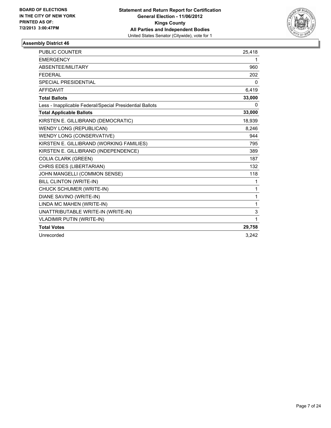

| <b>PUBLIC COUNTER</b>                                    | 25,418 |
|----------------------------------------------------------|--------|
| <b>EMERGENCY</b>                                         | 1      |
| <b>ABSENTEE/MILITARY</b>                                 | 960    |
| <b>FEDERAL</b>                                           | 202    |
| <b>SPECIAL PRESIDENTIAL</b>                              | 0      |
| <b>AFFIDAVIT</b>                                         | 6,419  |
| <b>Total Ballots</b>                                     | 33,000 |
| Less - Inapplicable Federal/Special Presidential Ballots | 0      |
| <b>Total Applicable Ballots</b>                          | 33,000 |
| KIRSTEN E. GILLIBRAND (DEMOCRATIC)                       | 18,939 |
| <b>WENDY LONG (REPUBLICAN)</b>                           | 8,246  |
| WENDY LONG (CONSERVATIVE)                                | 944    |
| KIRSTEN E. GILLIBRAND (WORKING FAMILIES)                 | 795    |
| KIRSTEN E. GILLIBRAND (INDEPENDENCE)                     | 389    |
| <b>COLIA CLARK (GREEN)</b>                               | 187    |
| CHRIS EDES (LIBERTARIAN)                                 | 132    |
| JOHN MANGELLI (COMMON SENSE)                             | 118    |
| BILL CLINTON (WRITE-IN)                                  | 1      |
| CHUCK SCHUMER (WRITE-IN)                                 | 1      |
| DIANE SAVINO (WRITE-IN)                                  | 1      |
| LINDA MC MAHEN (WRITE-IN)                                | 1      |
| UNATTRIBUTABLE WRITE-IN (WRITE-IN)                       | 3      |
| <b>VLADIMIR PUTIN (WRITE-IN)</b>                         | 1      |
| <b>Total Votes</b>                                       | 29,758 |
| Unrecorded                                               | 3.242  |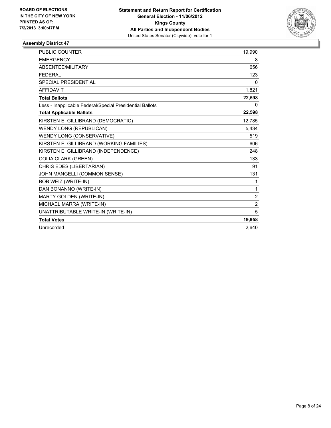

| <b>PUBLIC COUNTER</b>                                    | 19,990         |
|----------------------------------------------------------|----------------|
| <b>EMERGENCY</b>                                         | 8              |
| ABSENTEE/MILITARY                                        | 656            |
| <b>FEDERAL</b>                                           | 123            |
| <b>SPECIAL PRESIDENTIAL</b>                              | $\mathbf{0}$   |
| <b>AFFIDAVIT</b>                                         | 1,821          |
| <b>Total Ballots</b>                                     | 22,598         |
| Less - Inapplicable Federal/Special Presidential Ballots | 0              |
| <b>Total Applicable Ballots</b>                          | 22,598         |
| KIRSTEN E. GILLIBRAND (DEMOCRATIC)                       | 12,785         |
| <b>WENDY LONG (REPUBLICAN)</b>                           | 5,434          |
| WENDY LONG (CONSERVATIVE)                                | 519            |
| KIRSTEN E. GILLIBRAND (WORKING FAMILIES)                 | 606            |
| KIRSTEN E. GILLIBRAND (INDEPENDENCE)                     | 248            |
| <b>COLIA CLARK (GREEN)</b>                               | 133            |
| CHRIS EDES (LIBERTARIAN)                                 | 91             |
| JOHN MANGELLI (COMMON SENSE)                             | 131            |
| <b>BOB WEIZ (WRITE-IN)</b>                               | 1              |
| DAN BONANNO (WRITE-IN)                                   | 1              |
| MARTY GOLDEN (WRITE-IN)                                  | $\overline{2}$ |
| MICHAEL MARRA (WRITE-IN)                                 | $\overline{2}$ |
| UNATTRIBUTABLE WRITE-IN (WRITE-IN)                       | 5              |
| <b>Total Votes</b>                                       | 19,958         |
| Unrecorded                                               | 2.640          |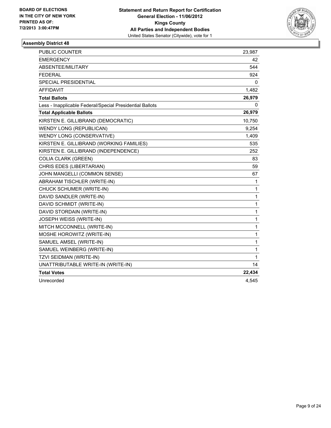

| <b>PUBLIC COUNTER</b>                                    | 23,987 |
|----------------------------------------------------------|--------|
| <b>EMERGENCY</b>                                         | 42     |
| ABSENTEE/MILITARY                                        | 544    |
| <b>FEDERAL</b>                                           | 924    |
| SPECIAL PRESIDENTIAL                                     | 0      |
| AFFIDAVIT                                                | 1,482  |
| <b>Total Ballots</b>                                     | 26,979 |
| Less - Inapplicable Federal/Special Presidential Ballots | 0      |
| <b>Total Applicable Ballots</b>                          | 26,979 |
| KIRSTEN E. GILLIBRAND (DEMOCRATIC)                       | 10,750 |
| <b>WENDY LONG (REPUBLICAN)</b>                           | 9,254  |
| WENDY LONG (CONSERVATIVE)                                | 1,409  |
| KIRSTEN E. GILLIBRAND (WORKING FAMILIES)                 | 535    |
| KIRSTEN E. GILLIBRAND (INDEPENDENCE)                     | 252    |
| <b>COLIA CLARK (GREEN)</b>                               | 83     |
| CHRIS EDES (LIBERTARIAN)                                 | 59     |
| JOHN MANGELLI (COMMON SENSE)                             | 67     |
| ABRAHAM TISCHLER (WRITE-IN)                              | 1      |
| CHUCK SCHUMER (WRITE-IN)                                 | 1      |
| DAVID SANDLER (WRITE-IN)                                 | 1      |
| DAVID SCHMIDT (WRITE-IN)                                 | 1      |
| DAVID STORDAIN (WRITE-IN)                                | 1      |
| JOSEPH WEISS (WRITE-IN)                                  | 1      |
| MITCH MCCONNELL (WRITE-IN)                               | 1      |
| MOSHE HOROWITZ (WRITE-IN)                                | 1      |
| SAMUEL AMSEL (WRITE-IN)                                  | 1      |
| SAMUEL WEINBERG (WRITE-IN)                               | 1      |
| TZVI SEIDMAN (WRITE-IN)                                  | 1      |
| UNATTRIBUTABLE WRITE-IN (WRITE-IN)                       | 14     |
| <b>Total Votes</b>                                       | 22,434 |
| Unrecorded                                               | 4,545  |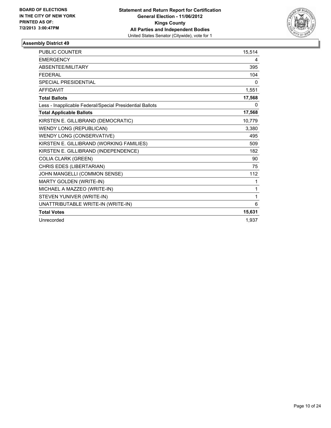

| <b>PUBLIC COUNTER</b>                                    | 15.514 |
|----------------------------------------------------------|--------|
| <b>EMERGENCY</b>                                         | 4      |
| ABSENTEE/MILITARY                                        | 395    |
| <b>FEDERAL</b>                                           | 104    |
| <b>SPECIAL PRESIDENTIAL</b>                              | 0      |
| <b>AFFIDAVIT</b>                                         | 1,551  |
| <b>Total Ballots</b>                                     | 17,568 |
| Less - Inapplicable Federal/Special Presidential Ballots | 0      |
| <b>Total Applicable Ballots</b>                          | 17,568 |
| KIRSTEN E. GILLIBRAND (DEMOCRATIC)                       | 10,779 |
| <b>WENDY LONG (REPUBLICAN)</b>                           | 3,380  |
| WENDY LONG (CONSERVATIVE)                                | 495    |
| KIRSTEN E. GILLIBRAND (WORKING FAMILIES)                 | 509    |
| KIRSTEN E. GILLIBRAND (INDEPENDENCE)                     | 182    |
| <b>COLIA CLARK (GREEN)</b>                               | 90     |
| CHRIS EDES (LIBERTARIAN)                                 | 75     |
| JOHN MANGELLI (COMMON SENSE)                             | 112    |
| MARTY GOLDEN (WRITE-IN)                                  | 1      |
| MICHAEL A MAZZEO (WRITE-IN)                              | 1      |
| STEVEN YUNIVER (WRITE-IN)                                | 1      |
| UNATTRIBUTABLE WRITE-IN (WRITE-IN)                       | 6      |
| <b>Total Votes</b>                                       | 15,631 |
| Unrecorded                                               | 1,937  |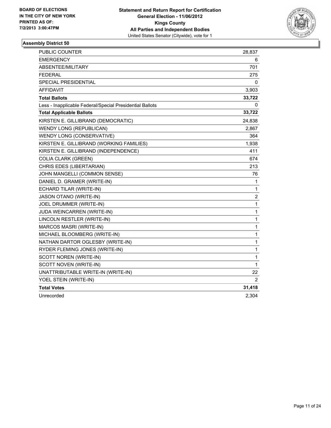

| PUBLIC COUNTER                                           | 28,837      |
|----------------------------------------------------------|-------------|
| <b>EMERGENCY</b>                                         | 6           |
| ABSENTEE/MILITARY                                        | 701         |
| FEDERAL                                                  | 275         |
| SPECIAL PRESIDENTIAL                                     | 0           |
| <b>AFFIDAVIT</b>                                         | 3,903       |
| <b>Total Ballots</b>                                     | 33,722      |
| Less - Inapplicable Federal/Special Presidential Ballots | 0           |
| <b>Total Applicable Ballots</b>                          | 33,722      |
| KIRSTEN E. GILLIBRAND (DEMOCRATIC)                       | 24,838      |
| <b>WENDY LONG (REPUBLICAN)</b>                           | 2,867       |
| WENDY LONG (CONSERVATIVE)                                | 364         |
| KIRSTEN E. GILLIBRAND (WORKING FAMILIES)                 | 1,938       |
| KIRSTEN E. GILLIBRAND (INDEPENDENCE)                     | 411         |
| <b>COLIA CLARK (GREEN)</b>                               | 674         |
| CHRIS EDES (LIBERTARIAN)                                 | 213         |
| JOHN MANGELLI (COMMON SENSE)                             | 76          |
| DANIEL D. GRAMER (WRITE-IN)                              | 1           |
| ECHARD TILAR (WRITE-IN)                                  | 1           |
| <b>JASON OTANO (WRITE-IN)</b>                            | 2           |
| JOEL DRUMMER (WRITE-IN)                                  | 1           |
| JUDA WEINCARREN (WRITE-IN)                               | 1           |
| LINCOLN RESTLER (WRITE-IN)                               | 1           |
| MARCOS MASRI (WRITE-IN)                                  | 1           |
| MICHAEL BLOOMBERG (WRITE-IN)                             | 1           |
| NATHAN DARTOR OGLESBY (WRITE-IN)                         | $\mathbf 1$ |
| RYDER FLEMING JONES (WRITE-IN)                           | 1           |
| SCOTT NOREN (WRITE-IN)                                   | 1           |
| SCOTT NOVEN (WRITE-IN)                                   | 1           |
| UNATTRIBUTABLE WRITE-IN (WRITE-IN)                       | 22          |
| YOEL STEIN (WRITE-IN)                                    | 2           |
| <b>Total Votes</b>                                       | 31,418      |
| Unrecorded                                               | 2,304       |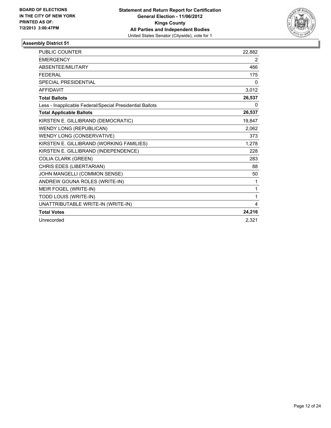

| <b>PUBLIC COUNTER</b>                                    | 22,882 |
|----------------------------------------------------------|--------|
| <b>EMERGENCY</b>                                         | 2      |
| ABSENTEE/MILITARY                                        | 466    |
| <b>FEDERAL</b>                                           | 175    |
| <b>SPECIAL PRESIDENTIAL</b>                              | 0      |
| <b>AFFIDAVIT</b>                                         | 3,012  |
| <b>Total Ballots</b>                                     | 26,537 |
| Less - Inapplicable Federal/Special Presidential Ballots | 0      |
| <b>Total Applicable Ballots</b>                          | 26,537 |
| KIRSTEN E. GILLIBRAND (DEMOCRATIC)                       | 19,847 |
| <b>WENDY LONG (REPUBLICAN)</b>                           | 2,062  |
| WENDY LONG (CONSERVATIVE)                                | 373    |
| KIRSTEN E. GILLIBRAND (WORKING FAMILIES)                 | 1,278  |
| KIRSTEN E. GILLIBRAND (INDEPENDENCE)                     | 228    |
| <b>COLIA CLARK (GREEN)</b>                               | 283    |
| CHRIS EDES (LIBERTARIAN)                                 | 88     |
| JOHN MANGELLI (COMMON SENSE)                             | 50     |
| ANDREW GOUNA ROLES (WRITE-IN)                            | 1      |
| MEIR FOGEL (WRITE-IN)                                    | 1      |
| TODD LOUIS (WRITE-IN)                                    | 1      |
| UNATTRIBUTABLE WRITE-IN (WRITE-IN)                       | 4      |
| <b>Total Votes</b>                                       | 24,216 |
| Unrecorded                                               | 2,321  |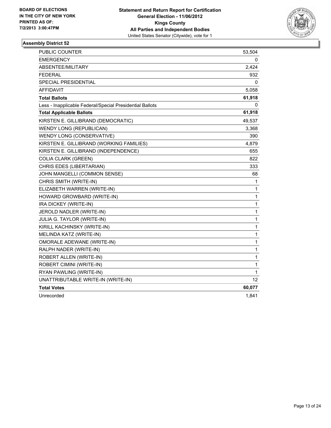

| PUBLIC COUNTER                                           | 53,504       |
|----------------------------------------------------------|--------------|
| <b>EMERGENCY</b>                                         | 0            |
| ABSENTEE/MILITARY                                        | 2,424        |
| <b>FEDERAL</b>                                           | 932          |
| <b>SPECIAL PRESIDENTIAL</b>                              | 0            |
| <b>AFFIDAVIT</b>                                         | 5,058        |
| <b>Total Ballots</b>                                     | 61,918       |
| Less - Inapplicable Federal/Special Presidential Ballots | 0            |
| <b>Total Applicable Ballots</b>                          | 61,918       |
| KIRSTEN E. GILLIBRAND (DEMOCRATIC)                       | 49,537       |
| WENDY LONG (REPUBLICAN)                                  | 3,368        |
| WENDY LONG (CONSERVATIVE)                                | 390          |
| KIRSTEN E. GILLIBRAND (WORKING FAMILIES)                 | 4,879        |
| KIRSTEN E. GILLIBRAND (INDEPENDENCE)                     | 655          |
| <b>COLIA CLARK (GREEN)</b>                               | 822          |
| CHRIS EDES (LIBERTARIAN)                                 | 333          |
| JOHN MANGELLI (COMMON SENSE)                             | 68           |
| CHRIS SMITH (WRITE-IN)                                   | 1            |
| ELIZABETH WARREN (WRITE-IN)                              | 1            |
| HOWARD GROWBARD (WRITE-IN)                               | $\mathbf{1}$ |
| IRA DICKEY (WRITE-IN)                                    | 1            |
| JEROLD NADLER (WRITE-IN)                                 | $\mathbf{1}$ |
| <b>JULIA G. TAYLOR (WRITE-IN)</b>                        | 1            |
| KIRILL KACHINSKY (WRITE-IN)                              | $\mathbf{1}$ |
| MELINDA KATZ (WRITE-IN)                                  | 1            |
| OMORALE ADEWANE (WRITE-IN)                               | 1            |
| RALPH NADER (WRITE-IN)                                   | 1            |
| ROBERT ALLEN (WRITE-IN)                                  | $\mathbf{1}$ |
| ROBERT CIMINI (WRITE-IN)                                 | $\mathbf 1$  |
| RYAN PAWLING (WRITE-IN)                                  | 1            |
| UNATTRIBUTABLE WRITE-IN (WRITE-IN)                       | 12           |
| <b>Total Votes</b>                                       | 60,077       |
| Unrecorded                                               | 1,841        |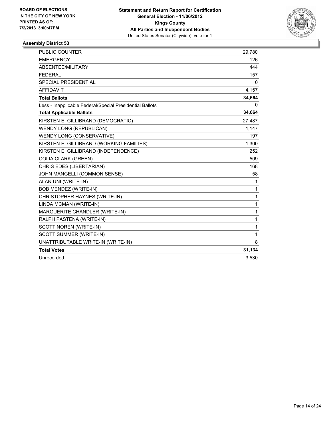

| <b>PUBLIC COUNTER</b>                                    | 29.780       |
|----------------------------------------------------------|--------------|
| <b>EMERGENCY</b>                                         | 126          |
| ABSENTEE/MILITARY                                        | 444          |
| <b>FEDERAL</b>                                           | 157          |
| <b>SPECIAL PRESIDENTIAL</b>                              | 0            |
| <b>AFFIDAVIT</b>                                         | 4,157        |
| <b>Total Ballots</b>                                     | 34,664       |
| Less - Inapplicable Federal/Special Presidential Ballots | 0            |
| <b>Total Applicable Ballots</b>                          | 34,664       |
| KIRSTEN E. GILLIBRAND (DEMOCRATIC)                       | 27,487       |
| <b>WENDY LONG (REPUBLICAN)</b>                           | 1,147        |
| WENDY LONG (CONSERVATIVE)                                | 197          |
| KIRSTEN E. GILLIBRAND (WORKING FAMILIES)                 | 1,300        |
| KIRSTEN E. GILLIBRAND (INDEPENDENCE)                     | 252          |
| <b>COLIA CLARK (GREEN)</b>                               | 509          |
| CHRIS EDES (LIBERTARIAN)                                 | 168          |
| JOHN MANGELLI (COMMON SENSE)                             | 58           |
| ALAN UNI (WRITE-IN)                                      | 1            |
| BOB MENDEZ (WRITE-IN)                                    | 1            |
| CHRISTOPHER HAYNES (WRITE-IN)                            | 1            |
| LINDA MCMAN (WRITE-IN)                                   | $\mathbf{1}$ |
| MARGUERITE CHANDLER (WRITE-IN)                           | $\mathbf{1}$ |
| RALPH PASTENA (WRITE-IN)                                 | $\mathbf{1}$ |
| SCOTT NOREN (WRITE-IN)                                   | $\mathbf{1}$ |
| SCOTT SUMMER (WRITE-IN)                                  | 1            |
| UNATTRIBUTABLE WRITE-IN (WRITE-IN)                       | 8            |
| <b>Total Votes</b>                                       | 31,134       |
| Unrecorded                                               | 3,530        |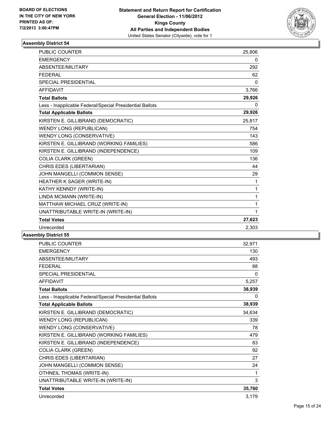

| <b>PUBLIC COUNTER</b>                                    | 25,806       |
|----------------------------------------------------------|--------------|
| <b>EMERGENCY</b>                                         | 0            |
| ABSENTEE/MILITARY                                        | 292          |
| <b>FEDERAL</b>                                           | 62           |
| <b>SPECIAL PRESIDENTIAL</b>                              | $\mathbf{0}$ |
| <b>AFFIDAVIT</b>                                         | 3,766        |
| <b>Total Ballots</b>                                     | 29,926       |
| Less - Inapplicable Federal/Special Presidential Ballots | 0            |
| <b>Total Applicable Ballots</b>                          | 29,926       |
| KIRSTEN E. GILLIBRAND (DEMOCRATIC)                       | 25,817       |
| <b>WENDY LONG (REPUBLICAN)</b>                           | 754          |
| WENDY LONG (CONSERVATIVE)                                | 143          |
| KIRSTEN E. GILLIBRAND (WORKING FAMILIES)                 | 586          |
| KIRSTEN E. GILLIBRAND (INDEPENDENCE)                     | 109          |
| <b>COLIA CLARK (GREEN)</b>                               | 136          |
| CHRIS EDES (LIBERTARIAN)                                 | 44           |
| JOHN MANGELLI (COMMON SENSE)                             | 29           |
| HEATHER K SAGER (WRITE-IN)                               | 1            |
| KATHY KENNDY (WRITE-IN)                                  | 1            |
| LINDA MCMANN (WRITE-IN)                                  | 1            |
| MATTHAW MICHAEL CRUZ (WRITE-IN)                          | 1            |
| UNATTRIBUTABLE WRITE-IN (WRITE-IN)                       | 1            |
| <b>Total Votes</b>                                       | 27,623       |
| Unrecorded                                               | 2,303        |
|                                                          |              |

| PUBLIC COUNTER                                           | 32,971       |
|----------------------------------------------------------|--------------|
| <b>EMERGENCY</b>                                         | 130          |
| <b>ABSENTEE/MILITARY</b>                                 | 493          |
| <b>FEDERAL</b>                                           | 88           |
| <b>SPECIAL PRESIDENTIAL</b>                              | $\mathbf{0}$ |
| <b>AFFIDAVIT</b>                                         | 5,257        |
| <b>Total Ballots</b>                                     | 38,939       |
| Less - Inapplicable Federal/Special Presidential Ballots | 0            |
| <b>Total Applicable Ballots</b>                          | 38,939       |
| KIRSTEN E. GILLIBRAND (DEMOCRATIC)                       | 34,634       |
| <b>WENDY LONG (REPUBLICAN)</b>                           | 339          |
| WENDY LONG (CONSERVATIVE)                                | 78           |
| KIRSTEN E. GILLIBRAND (WORKING FAMILIES)                 | 479          |
| KIRSTEN E. GILLIBRAND (INDEPENDENCE)                     | 83           |
| <b>COLIA CLARK (GREEN)</b>                               | 92           |
| CHRIS EDES (LIBERTARIAN)                                 | 27           |
| JOHN MANGELLI (COMMON SENSE)                             | 24           |
| OTHNEIL THOMAS (WRITE-IN)                                | 1            |
| UNATTRIBUTABLE WRITE-IN (WRITE-IN)                       | 3            |
| <b>Total Votes</b>                                       | 35,760       |
| Unrecorded                                               | 3,179        |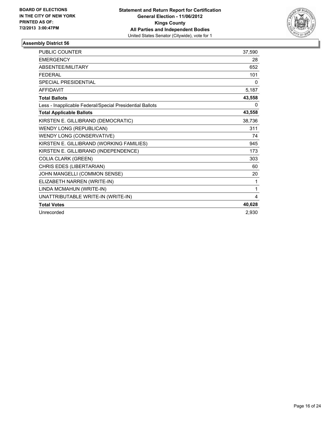

| <b>PUBLIC COUNTER</b>                                    | 37,590 |
|----------------------------------------------------------|--------|
| <b>EMERGENCY</b>                                         | 28     |
| <b>ABSENTEE/MILITARY</b>                                 | 652    |
| <b>FEDERAL</b>                                           | 101    |
| <b>SPECIAL PRESIDENTIAL</b>                              | 0      |
| <b>AFFIDAVIT</b>                                         | 5,187  |
| <b>Total Ballots</b>                                     | 43,558 |
| Less - Inapplicable Federal/Special Presidential Ballots | 0      |
| <b>Total Applicable Ballots</b>                          | 43,558 |
| KIRSTEN E. GILLIBRAND (DEMOCRATIC)                       | 38,736 |
| <b>WENDY LONG (REPUBLICAN)</b>                           | 311    |
| WENDY LONG (CONSERVATIVE)                                | 74     |
| KIRSTEN E. GILLIBRAND (WORKING FAMILIES)                 | 945    |
| KIRSTEN E. GILLIBRAND (INDEPENDENCE)                     | 173    |
| <b>COLIA CLARK (GREEN)</b>                               | 303    |
| CHRIS EDES (LIBERTARIAN)                                 | 60     |
| JOHN MANGELLI (COMMON SENSE)                             | 20     |
| ELIZABETH NARREN (WRITE-IN)                              | 1      |
| LINDA MCMAHUN (WRITE-IN)                                 | 1      |
| UNATTRIBUTABLE WRITE-IN (WRITE-IN)                       | 4      |
| <b>Total Votes</b>                                       | 40,628 |
| Unrecorded                                               | 2,930  |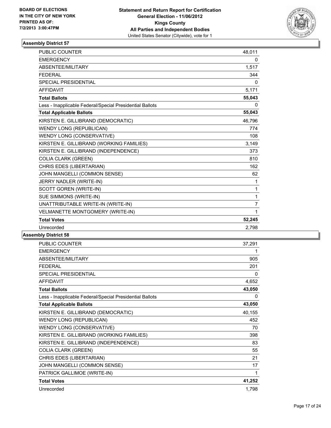

| <b>PUBLIC COUNTER</b>                                    | 48,011         |
|----------------------------------------------------------|----------------|
| <b>EMERGENCY</b>                                         | 0              |
| ABSENTEE/MILITARY                                        | 1,517          |
| <b>FEDERAL</b>                                           | 344            |
| <b>SPECIAL PRESIDENTIAL</b>                              | 0              |
| <b>AFFIDAVIT</b>                                         | 5,171          |
| <b>Total Ballots</b>                                     | 55,043         |
| Less - Inapplicable Federal/Special Presidential Ballots | $\mathbf{0}$   |
| <b>Total Applicable Ballots</b>                          | 55,043         |
| KIRSTEN E. GILLIBRAND (DEMOCRATIC)                       | 46,796         |
| <b>WENDY LONG (REPUBLICAN)</b>                           | 774            |
| WENDY LONG (CONSERVATIVE)                                | 108            |
| KIRSTEN E. GILLIBRAND (WORKING FAMILIES)                 | 3,149          |
| KIRSTEN E. GILLIBRAND (INDEPENDENCE)                     | 373            |
| <b>COLIA CLARK (GREEN)</b>                               | 810            |
| CHRIS EDES (LIBERTARIAN)                                 | 162            |
| JOHN MANGELLI (COMMON SENSE)                             | 62             |
| JERRY NADLER (WRITE-IN)                                  | $\mathbf{1}$   |
| <b>SCOTT GOREN (WRITE-IN)</b>                            | $\mathbf{1}$   |
| SUE SIMMONS (WRITE-IN)                                   | 1              |
| UNATTRIBUTABLE WRITE-IN (WRITE-IN)                       | $\overline{7}$ |
| VELMANETTE MONTGOMERY (WRITE-IN)                         | 1              |
| <b>Total Votes</b>                                       | 52,245         |
| Unrecorded                                               | 2,798          |
|                                                          |                |

| PUBLIC COUNTER                                           | 37,291 |
|----------------------------------------------------------|--------|
| <b>EMERGENCY</b>                                         | 1      |
| ABSENTEE/MILITARY                                        | 905    |
| <b>FEDERAL</b>                                           | 201    |
| SPECIAL PRESIDENTIAL                                     | 0      |
| <b>AFFIDAVIT</b>                                         | 4,652  |
| <b>Total Ballots</b>                                     | 43,050 |
| Less - Inapplicable Federal/Special Presidential Ballots | 0      |
| <b>Total Applicable Ballots</b>                          | 43,050 |
| KIRSTEN E. GILLIBRAND (DEMOCRATIC)                       | 40,155 |
| <b>WENDY LONG (REPUBLICAN)</b>                           | 452    |
| WENDY LONG (CONSERVATIVE)                                | 70     |
| KIRSTEN E. GILLIBRAND (WORKING FAMILIES)                 | 398    |
| KIRSTEN E. GILLIBRAND (INDEPENDENCE)                     | 83     |
| <b>COLIA CLARK (GREEN)</b>                               | 55     |
| CHRIS EDES (LIBERTARIAN)                                 | 21     |
| JOHN MANGELLI (COMMON SENSE)                             | 17     |
| PATRICK GALLIMOE (WRITE-IN)                              | 1      |
| <b>Total Votes</b>                                       | 41,252 |
| Unrecorded                                               | 1,798  |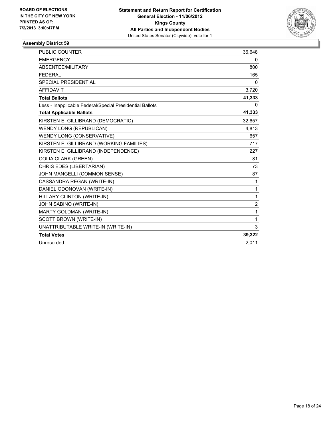

| <b>PUBLIC COUNTER</b>                                    | 36,648         |
|----------------------------------------------------------|----------------|
| <b>EMERGENCY</b>                                         | 0              |
| ABSENTEE/MILITARY                                        | 800            |
| <b>FEDERAL</b>                                           | 165            |
| SPECIAL PRESIDENTIAL                                     | 0              |
| <b>AFFIDAVIT</b>                                         | 3,720          |
| <b>Total Ballots</b>                                     | 41,333         |
| Less - Inapplicable Federal/Special Presidential Ballots | 0              |
| <b>Total Applicable Ballots</b>                          | 41,333         |
| KIRSTEN E. GILLIBRAND (DEMOCRATIC)                       | 32,657         |
| <b>WENDY LONG (REPUBLICAN)</b>                           | 4,813          |
| WENDY LONG (CONSERVATIVE)                                | 657            |
| KIRSTEN E. GILLIBRAND (WORKING FAMILIES)                 | 717            |
| KIRSTEN E. GILLIBRAND (INDEPENDENCE)                     | 227            |
| <b>COLIA CLARK (GREEN)</b>                               | 81             |
| CHRIS EDES (LIBERTARIAN)                                 | 73             |
| JOHN MANGELLI (COMMON SENSE)                             | 87             |
| CASSANDRA REGAN (WRITE-IN)                               | 1              |
| DANIEL ODONOVAN (WRITE-IN)                               | 1              |
| HILLARY CLINTON (WRITE-IN)                               | 1              |
| JOHN SABINO (WRITE-IN)                                   | $\overline{2}$ |
| MARTY GOLDMAN (WRITE-IN)                                 | 1              |
| <b>SCOTT BROWN (WRITE-IN)</b>                            | 1              |
| UNATTRIBUTABLE WRITE-IN (WRITE-IN)                       | 3              |
| <b>Total Votes</b>                                       | 39,322         |
| Unrecorded                                               | 2.011          |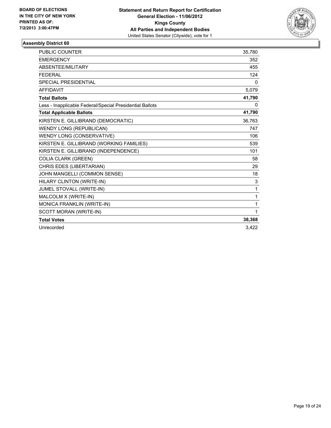

| <b>PUBLIC COUNTER</b>                                    | 35.780       |
|----------------------------------------------------------|--------------|
| <b>EMERGENCY</b>                                         | 352          |
| ABSENTEE/MILITARY                                        | 455          |
| <b>FEDERAL</b>                                           | 124          |
| <b>SPECIAL PRESIDENTIAL</b>                              | $\mathbf{0}$ |
| <b>AFFIDAVIT</b>                                         | 5,079        |
| <b>Total Ballots</b>                                     | 41,790       |
| Less - Inapplicable Federal/Special Presidential Ballots | 0            |
| <b>Total Applicable Ballots</b>                          | 41,790       |
| KIRSTEN E. GILLIBRAND (DEMOCRATIC)                       | 36.763       |
| <b>WENDY LONG (REPUBLICAN)</b>                           | 747          |
| WENDY LONG (CONSERVATIVE)                                | 106          |
| KIRSTEN E. GILLIBRAND (WORKING FAMILIES)                 | 539          |
| KIRSTEN E. GILLIBRAND (INDEPENDENCE)                     | 101          |
| <b>COLIA CLARK (GREEN)</b>                               | 58           |
| CHRIS EDES (LIBERTARIAN)                                 | 29           |
| JOHN MANGELLI (COMMON SENSE)                             | 18           |
| HILARY CLINTON (WRITE-IN)                                | 3            |
| JUMEL STOVALL (WRITE-IN)                                 | 1            |
| MALCOLM X (WRITE-IN)                                     | $\mathbf{1}$ |
| MONICA FRANKLIN (WRITE-IN)                               | 1            |
| SCOTT MORAN (WRITE-IN)                                   | 1            |
| <b>Total Votes</b>                                       | 38,368       |
| Unrecorded                                               | 3.422        |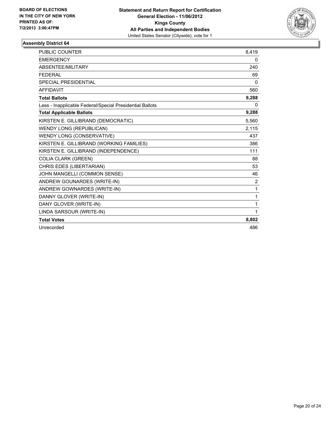

| <b>PUBLIC COUNTER</b>                                    | 8,419        |
|----------------------------------------------------------|--------------|
| <b>EMERGENCY</b>                                         | 0            |
| <b>ABSENTEE/MILITARY</b>                                 | 240          |
| <b>FEDERAL</b>                                           | 69           |
| SPECIAL PRESIDENTIAL                                     | $\mathbf{0}$ |
| <b>AFFIDAVIT</b>                                         | 560          |
| <b>Total Ballots</b>                                     | 9,288        |
| Less - Inapplicable Federal/Special Presidential Ballots | 0            |
| <b>Total Applicable Ballots</b>                          | 9,288        |
| KIRSTEN E. GILLIBRAND (DEMOCRATIC)                       | 5,560        |
| <b>WENDY LONG (REPUBLICAN)</b>                           | 2,115        |
| WENDY LONG (CONSERVATIVE)                                | 437          |
| KIRSTEN E. GILLIBRAND (WORKING FAMILIES)                 | 386          |
| KIRSTEN E. GILLIBRAND (INDEPENDENCE)                     | 111          |
| <b>COLIA CLARK (GREEN)</b>                               | 88           |
| CHRIS EDES (LIBERTARIAN)                                 | 53           |
| JOHN MANGELLI (COMMON SENSE)                             | 46           |
| ANDREW GOUNARDES (WRITE-IN)                              | 2            |
| ANDREW GOWNARDES (WRITE-IN)                              | 1            |
| DANNY GLOVER (WRITE-IN)                                  | 1            |
| DANY GLOVER (WRITE-IN)                                   | 1            |
| LINDA SARSOUR (WRITE-IN)                                 | 1            |
| <b>Total Votes</b>                                       | 8,802        |
| Unrecorded                                               | 486          |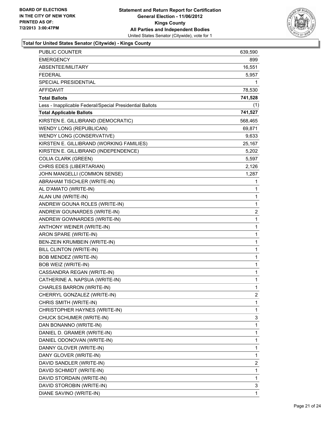

## **Total for United States Senator (Citywide) - Kings County**

| PUBLIC COUNTER                                           | 639,590 |
|----------------------------------------------------------|---------|
| <b>EMERGENCY</b>                                         | 899     |
| ABSENTEE/MILITARY                                        | 16,551  |
| FEDERAL                                                  | 5,957   |
| SPECIAL PRESIDENTIAL                                     | 1       |
| AFFIDAVIT                                                | 78,530  |
| <b>Total Ballots</b>                                     | 741,528 |
| Less - Inapplicable Federal/Special Presidential Ballots | (1)     |
| <b>Total Applicable Ballots</b>                          | 741,527 |
| KIRSTEN E. GILLIBRAND (DEMOCRATIC)                       | 568,465 |
| WENDY LONG (REPUBLICAN)                                  | 69,871  |
| WENDY LONG (CONSERVATIVE)                                | 9,633   |
| KIRSTEN E. GILLIBRAND (WORKING FAMILIES)                 | 25,167  |
| KIRSTEN E. GILLIBRAND (INDEPENDENCE)                     | 5,202   |
| <b>COLIA CLARK (GREEN)</b>                               | 5,597   |
| CHRIS EDES (LIBERTARIAN)                                 | 2,126   |
| JOHN MANGELLI (COMMON SENSE)                             | 1,287   |
| ABRAHAM TISCHLER (WRITE-IN)                              | 1       |
| AL D'AMATO (WRITE-IN)                                    | 1       |
| ALAN UNI (WRITE-IN)                                      | 1       |
| ANDREW GOUNA ROLES (WRITE-IN)                            | 1       |
| ANDREW GOUNARDES (WRITE-IN)                              | 2       |
| ANDREW GOWNARDES (WRITE-IN)                              | 1       |
| ANTHONY WEINER (WRITE-IN)                                | 1       |
| ARON SPARE (WRITE-IN)                                    | 1       |
| BEN-ZEIN KRUMBEIN (WRITE-IN)                             | 1       |
| BILL CLINTON (WRITE-IN)                                  | 1       |
| BOB MENDEZ (WRITE-IN)                                    | 1       |
| BOB WEIZ (WRITE-IN)                                      | 1       |
| CASSANDRA REGAN (WRITE-IN)                               | 1       |
| CATHERINE A. NAPSUA (WRITE-IN)                           | 1       |
| CHARLES BARRON (WRITE-IN)                                | 1       |
| CHERRYL GONZALEZ (WRITE-IN)                              | 2       |
| CHRIS SMITH (WRITE-IN)                                   | 1       |
| CHRISTOPHER HAYNES (WRITE-IN)                            | 1       |
| CHUCK SCHUMER (WRITE-IN)                                 | 3       |
| DAN BONANNO (WRITE-IN)                                   | 1       |
| DANIEL D. GRAMER (WRITE-IN)                              | 1       |
| DANIEL ODONOVAN (WRITE-IN)                               | 1       |
| DANNY GLOVER (WRITE-IN)                                  | 1       |
| DANY GLOVER (WRITE-IN)                                   | 1       |
| DAVID SANDLER (WRITE-IN)                                 | 2       |
| DAVID SCHMIDT (WRITE-IN)                                 | 1       |
| DAVID STORDAIN (WRITE-IN)                                | 1       |
| DAVID STOROBIN (WRITE-IN)                                | 3       |
| DIANE SAVINO (WRITE-IN)                                  | 1       |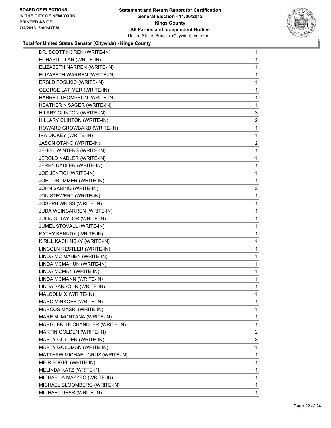

## **Total for United States Senator (Citywide) - Kings County**

| DR. SCOTT NOREN (WRITE-IN)       | 1 |
|----------------------------------|---|
| ECHARD TILAR (WRITE-IN)          | 1 |
| ELIZABETH NARREN (WRITE-IN)      | 1 |
| ELIZABETH WARREN (WRITE-IN)      | 1 |
| ERSLD FOSLKIC (WRITE-IN)         | 1 |
| <b>GEORGE LATIMER (WRITE-IN)</b> | 1 |
| HARRET THOMPSON (WRITE-IN)       | 1 |
| HEATHER K SAGER (WRITE-IN)       | 1 |
| HILARY CLINTON (WRITE-IN)        | 3 |
| HILLARY CLINTON (WRITE-IN)       | 2 |
| HOWARD GROWBARD (WRITE-IN)       | 1 |
| IRA DICKEY (WRITE-IN)            | 1 |
| JASON OTANO (WRITE-IN)           | 2 |
| JEHIEL WINTERS (WRITE-IN)        | 1 |
| JEROLD NADLER (WRITE-IN)         | 1 |
| JERRY NADLER (WRITE-IN)          | 1 |
| JOE JENTICI (WRITE-IN)           | 1 |
| JOEL DRUMMER (WRITE-IN)          | 1 |
| JOHN SABINO (WRITE-IN)           | 2 |
| JON STEWERT (WRITE-IN)           | 1 |
| JOSEPH WEISS (WRITE-IN)          | 1 |
| JUDA WEINCARREN (WRITE-IN)       | 1 |
| JULIA G. TAYLOR (WRITE-IN)       | 1 |
| JUMEL STOVALL (WRITE-IN)         | 1 |
| KATHY KENNDY (WRITE-IN)          | 1 |
| KIRILL KACHINSKY (WRITE-IN)      | 1 |
| LINCOLN RESTLER (WRITE-IN)       | 1 |
| LINDA MC MAHEN (WRITE-IN)        | 1 |
| LINDA MCMAHUN (WRITE-IN)         | 1 |
| LINDA MCMAN (WRITE-IN)           | 1 |
| LINDA MCMANN (WRITE-IN)          | 1 |
| LINDA SARSOUR (WRITE-IN)         | 1 |
| MALCOLM X (WRITE-IN)             | 1 |
| MARC MINKOFF (WRITE-IN)          | 1 |
| MARCOS MASRI (WRITE-IN)          | 1 |
| MARE M. MONTANA (WRITE-IN)       | 1 |
| MARGUERITE CHANDLER (WRITE-IN)   | 1 |
| MARTIN GOLDEN (WRITE-IN)         | 2 |
| MARTY GOLDEN (WRITE-IN)          | 3 |
| MARTY GOLDMAN (WRITE-IN)         | 1 |
| MATTHAW MICHAEL CRUZ (WRITE-IN)  | 1 |
| MEIR FOGEL (WRITE-IN)            | 1 |
| MELINDA KATZ (WRITE-IN)          | 1 |
| MICHAEL A MAZZEO (WRITE-IN)      | 1 |
| MICHAEL BLOOMBERG (WRITE-IN)     | 1 |
| MICHAEL DEAR (WRITE-IN)          | 1 |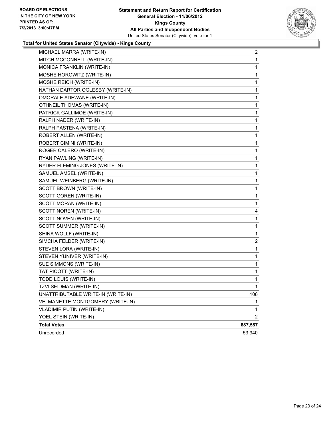

## **Total for United States Senator (Citywide) - Kings County**

| MICHAEL MARRA (WRITE-IN)           | 2              |
|------------------------------------|----------------|
| MITCH MCCONNELL (WRITE-IN)         | 1              |
| MONICA FRANKLIN (WRITE-IN)         | 1              |
| MOSHE HOROWITZ (WRITE-IN)          | 1              |
| MOSHE REICH (WRITE-IN)             | 1              |
| NATHAN DARTOR OGLESBY (WRITE-IN)   | 1              |
| OMORALE ADEWANE (WRITE-IN)         | 1              |
| OTHNEIL THOMAS (WRITE-IN)          | 1              |
| PATRICK GALLIMOE (WRITE-IN)        | 1              |
| RALPH NADER (WRITE-IN)             | 1              |
| RALPH PASTENA (WRITE-IN)           | 1              |
| ROBERT ALLEN (WRITE-IN)            | 1              |
| ROBERT CIMINI (WRITE-IN)           | 1              |
| ROGER CALERO (WRITE-IN)            | 1              |
| RYAN PAWLING (WRITE-IN)            | 1              |
| RYDER FLEMING JONES (WRITE-IN)     | 1              |
| SAMUEL AMSEL (WRITE-IN)            | 1              |
| SAMUEL WEINBERG (WRITE-IN)         | 1              |
| SCOTT BROWN (WRITE-IN)             | 1              |
| SCOTT GOREN (WRITE-IN)             | 1              |
| SCOTT MORAN (WRITE-IN)             | 1              |
| SCOTT NOREN (WRITE-IN)             | 4              |
| SCOTT NOVEN (WRITE-IN)             | 1              |
| SCOTT SUMMER (WRITE-IN)            | 1              |
| SHINA WOLLF (WRITE-IN)             | 1              |
| SIMCHA FELDER (WRITE-IN)           | $\overline{2}$ |
| STEVEN LORA (WRITE-IN)             | 1              |
| STEVEN YUNIVER (WRITE-IN)          | 1              |
| SUE SIMMONS (WRITE-IN)             | 1              |
| TAT PICOTT (WRITE-IN)              | 1              |
| TODD LOUIS (WRITE-IN)              | 1              |
| TZVI SEIDMAN (WRITE-IN)            | 1              |
| UNATTRIBUTABLE WRITE-IN (WRITE-IN) | 108            |
| VELMANETTE MONTGOMERY (WRITE-IN)   | 1              |
| <b>VLADIMIR PUTIN (WRITE-IN)</b>   | 1              |
| YOEL STEIN (WRITE-IN)              | $\overline{2}$ |
| <b>Total Votes</b>                 | 687,587        |
| Unrecorded                         | 53,940         |